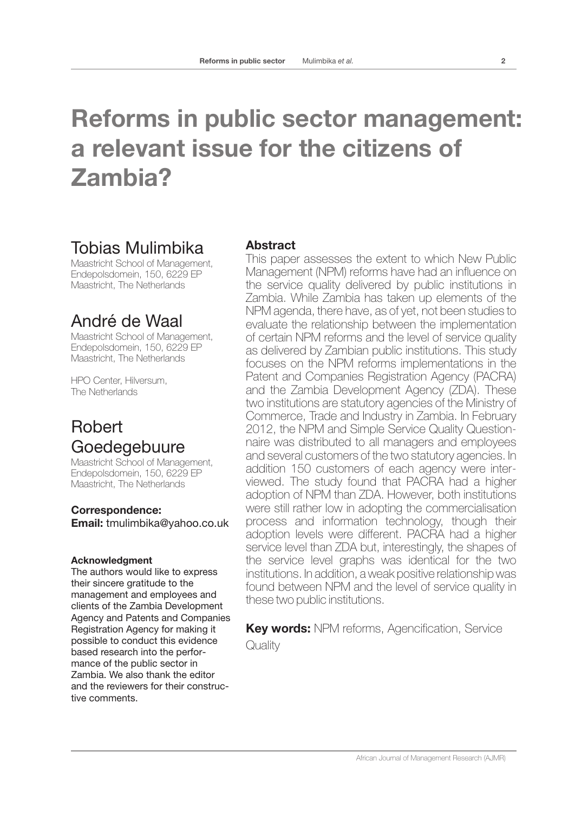# **Reforms in public sector management: a relevant issue for the citizens of Zambia?**

## Tobias Mulimbika

Maastricht School of Management, Endepolsdomein, 150, 6229 EP Maastricht, The Netherlands

## André de Waal

Maastricht School of Management, Endepolsdomein, 150, 6229 EP Maastricht, The Netherlands

HPO Center, Hilversum, The Netherlands

## Robert Goedegebuure

Maastricht School of Management, Endepolsdomein, 150, 6229 EP Maastricht, The Netherlands

**Correspondence: Email:** tmulimbika@yahoo.co.uk

#### **Acknowledgment**

The authors would like to express their sincere gratitude to the management and employees and clients of the Zambia Development Agency and Patents and Companies Registration Agency for making it possible to conduct this evidence based research into the performance of the public sector in Zambia. We also thank the editor and the reviewers for their constructive comments.

## **Abstract**

This paper assesses the extent to which New Public Management (NPM) reforms have had an influence on the service quality delivered by public institutions in Zambia. While Zambia has taken up elements of the NPM agenda, there have, as of yet, not been studies to evaluate the relationship between the implementation of certain NPM reforms and the level of service quality as delivered by Zambian public institutions. This study focuses on the NPM reforms implementations in the Patent and Companies Registration Agency (PACRA) and the Zambia Development Agency (ZDA). These two institutions are statutory agencies of the Ministry of Commerce, Trade and Industry in Zambia. In February 2012, the NPM and Simple Service Quality Questionnaire was distributed to all managers and employees and several customers of the two statutory agencies. In addition 150 customers of each agency were interviewed. The study found that PACRA had a higher adoption of NPM than ZDA. However, both institutions were still rather low in adopting the commercialisation process and information technology, though their adoption levels were different. PACRA had a higher service level than ZDA but, interestingly, the shapes of the service level graphs was identical for the two institutions. In addition, a weak positive relationship was found between NPM and the level of service quality in these two public institutions.

**Key words:** NPM reforms, Agencification, Service **Quality**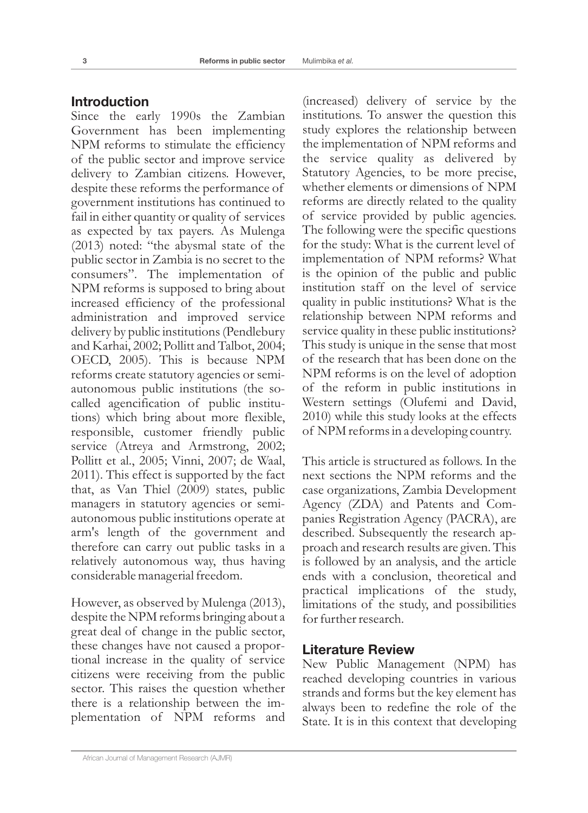#### **Introduction**

Since the early 1990s the Zambian Government has been implementing NPM reforms to stimulate the efficiency of the public sector and improve service delivery to Zambian citizens. However, despite these reforms the performance of government institutions has continued to fail in either quantity or quality of services as expected by tax payers. As Mulenga (2013) noted: "the abysmal state of the public sector in Zambia is no secret to the consumers". The implementation of NPM reforms is supposed to bring about increased efficiency of the professional administration and improved service delivery by public institutions (Pendlebury and Karhai, 2002; Pollitt and Talbot, 2004; OECD, 2005). This is because NPM reforms create statutory agencies or semiautonomous public institutions (the socalled agencification of public institutions) which bring about more flexible, responsible, customer friendly public service (Atreya and Armstrong, 2002; Pollitt et al., 2005; Vinni, 2007; de Waal, 2011). This effect is supported by the fact that, as Van Thiel (2009) states, public managers in statutory agencies or semiautonomous public institutions operate at arm's length of the government and therefore can carry out public tasks in a relatively autonomous way, thus having considerable managerial freedom.

However, as observed by Mulenga (2013), despite the NPM reforms bringing about a great deal of change in the public sector, these changes have not caused a proportional increase in the quality of service citizens were receiving from the public sector. This raises the question whether there is a relationship between the implementation of NPM reforms and

(increased) delivery of service by the institutions. To answer the question this study explores the relationship between the implementation of NPM reforms and the service quality as delivered by Statutory Agencies, to be more precise, whether elements or dimensions of NPM reforms are directly related to the quality of service provided by public agencies. The following were the specific questions for the study: What is the current level of implementation of NPM reforms? What is the opinion of the public and public institution staff on the level of service quality in public institutions? What is the relationship between NPM reforms and service quality in these public institutions? This study is unique in the sense that most of the research that has been done on the NPM reforms is on the level of adoption of the reform in public institutions in Western settings (Olufemi and David, 2010) while this study looks at the effects of NPM reforms in a developing country.

This article is structured as follows. In the next sections the NPM reforms and the case organizations, Zambia Development Agency (ZDA) and Patents and Companies Registration Agency (PACRA), are described. Subsequently the research approach and research results are given. This is followed by an analysis, and the article ends with a conclusion, theoretical and practical implications of the study, limitations of the study, and possibilities for further research.

#### **Literature Review**

New Public Management (NPM) has reached developing countries in various strands and forms but the key element has always been to redefine the role of the State. It is in this context that developing

African Journal of Management Research (AJMR)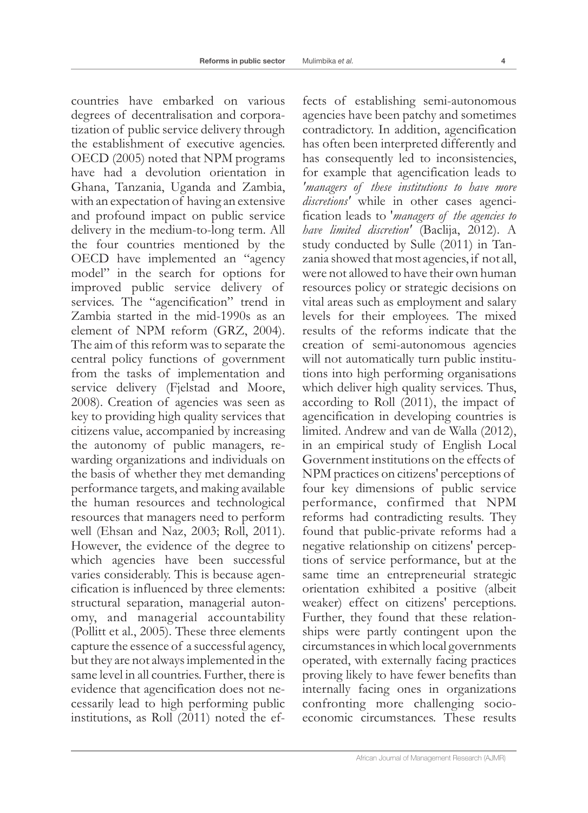countries have embarked on various degrees of decentralisation and corporatization of public service delivery through the establishment of executive agencies. OECD (2005) noted that NPM programs have had a devolution orientation in Ghana, Tanzania, Uganda and Zambia, with an expectation of having an extensive and profound impact on public service delivery in the medium-to-long term. All the four countries mentioned by the OECD have implemented an "agency model" in the search for options for improved public service delivery of services. The "agencification" trend in Zambia started in the mid-1990s as an element of NPM reform (GRZ, 2004). The aim of this reform was to separate the central policy functions of government from the tasks of implementation and service delivery (Fjelstad and Moore, 2008). Creation of agencies was seen as key to providing high quality services that citizens value, accompanied by increasing the autonomy of public managers, rewarding organizations and individuals on the basis of whether they met demanding performance targets, and making available the human resources and technological resources that managers need to perform well (Ehsan and Naz, 2003; Roll, 2011). However, the evidence of the degree to which agencies have been successful varies considerably. This is because agencification is influenced by three elements: structural separation, managerial autonomy, and managerial accountability (Pollitt et al., 2005). These three elements capture the essence of a successful agency, but they are not always implemented in the same level in all countries. Further, there is evidence that agencification does not necessarily lead to high performing public institutions, as Roll (2011) noted the ef-

fects of establishing semi-autonomous agencies have been patchy and sometimes contradictory. In addition, agencification has often been interpreted differently and has consequently led to inconsistencies, for example that agencification leads to *'managers of these institutions to have more discretions'* while in other cases agencification leads to '*managers of the agencies to have limited discretion'* (Baclija, 2012). A study conducted by Sulle (2011) in Tanzania showed that most agencies, if not all, were not allowed to have their own human resources policy or strategic decisions on vital areas such as employment and salary levels for their employees. The mixed results of the reforms indicate that the creation of semi-autonomous agencies will not automatically turn public institutions into high performing organisations which deliver high quality services. Thus, according to Roll (2011), the impact of agencification in developing countries is limited. Andrew and van de Walla (2012), in an empirical study of English Local Government institutions on the effects of NPM practices on citizens' perceptions of four key dimensions of public service performance, confirmed that NPM reforms had contradicting results. They found that public-private reforms had a negative relationship on citizens' perceptions of service performance, but at the same time an entrepreneurial strategic orientation exhibited a positive (albeit weaker) effect on citizens' perceptions. Further, they found that these relationships were partly contingent upon the circumstances in which local governments operated, with externally facing practices proving likely to have fewer benefits than internally facing ones in organizations confronting more challenging socioeconomic circumstances. These results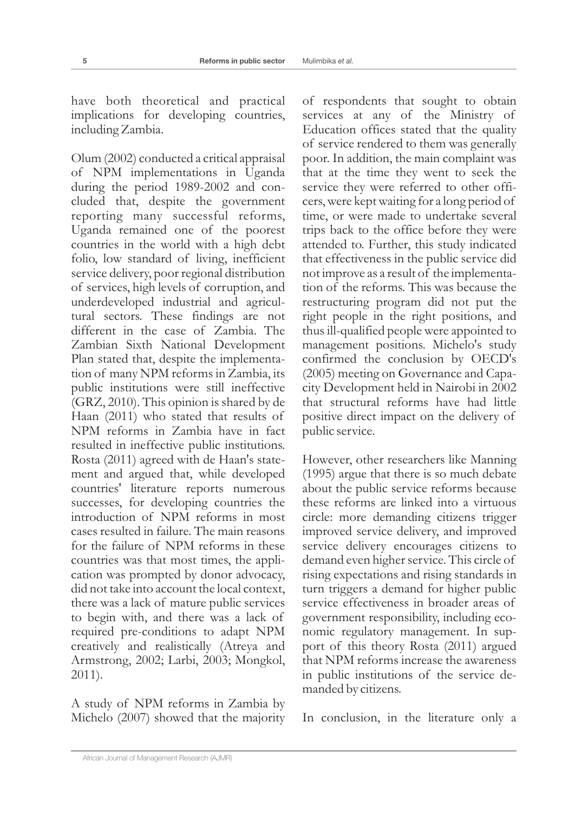have both theoretical and practical implications for developing countries, including Zambia.

Olum (2002) conducted a critical appraisal of NPM implementations in Uganda during the period 1989-2002 and concluded that, despite the government reporting many successful reforms, Uganda remained one of the poorest countries in the world with a high debt folio, low standard of living, inefficient service delivery, poor regional distribution of services, high levels of corruption, and underdeveloped industrial and agricultural sectors. These findings are not different in the case of Zambia. The Zambian Sixth National Development Plan stated that, despite the implementation of many NPM reforms in Zambia, its public institutions were still ineffective (GRZ, 2010). This opinion is shared by de Haan (2011) who stated that results of NPM reforms in Zambia have in fact resulted in ineffective public institutions. Rosta (2011) agreed with de Haan's statement and argued that, while developed countries' literature reports numerous successes, for developing countries the introduction of NPM reforms in most cases resulted in failure. The main reasons for the failure of NPM reforms in these countries was that most times, the application was prompted by donor advocacy, did not take into account the local context, there was a lack of mature public services to begin with, and there was a lack of required pre-conditions to adapt NPM creatively and realistically (Atreya and Armstrong, 2002; Larbi, 2003; Mongkol, 2011).

A study of NPM reforms in Zambia by Michelo (2007) showed that the majority of respondents that sought to obtain services at any of the Ministry of Education offices stated that the quality of service rendered to them was generally poor. In addition, the main complaint was that at the time they went to seek the service they were referred to other officers, were kept waiting for a long period of time, or were made to undertake several trips back to the office before they were attended to. Further, this study indicated that effectiveness in the public service did not improve as a result of the implementation of the reforms. This was because the restructuring program did not put the right people in the right positions, and thus ill-qualified people were appointed to management positions. Michelo's study confirmed the conclusion by OECD's (2005) meeting on Governance and Capacity Development held in Nairobi in 2002 that structural reforms have had little positive direct impact on the delivery of public service.

However, other researchers like Manning (1995) argue that there is so much debate about the public service reforms because these reforms are linked into a virtuous circle: more demanding citizens trigger improved service delivery, and improved service delivery encourages citizens to demand even higher service. This circle of rising expectations and rising standards in turn triggers a demand for higher public service effectiveness in broader areas of government responsibility, including economic regulatory management. In support of this theory Rosta (2011) argued that NPM reforms increase the awareness in public institutions of the service demanded by citizens.

In conclusion, in the literature only a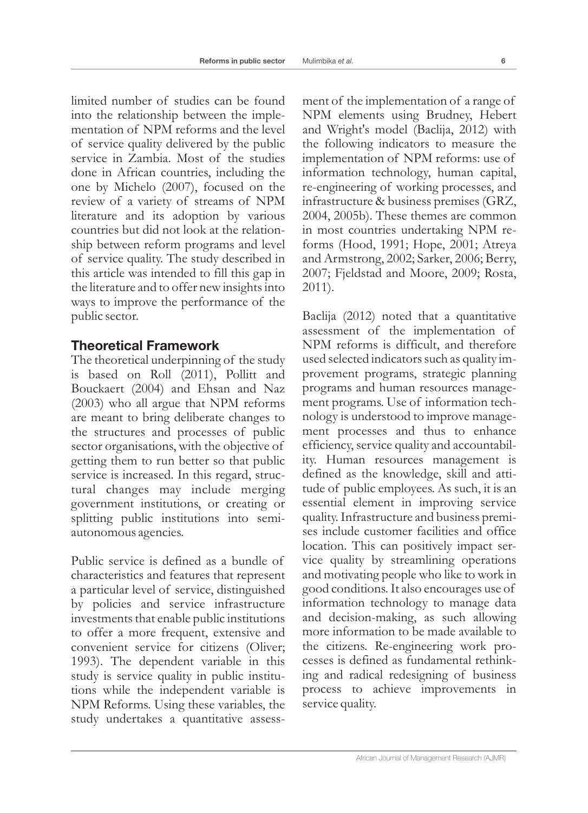limited number of studies can be found into the relationship between the implementation of NPM reforms and the level of service quality delivered by the public service in Zambia. Most of the studies done in African countries, including the one by Michelo (2007), focused on the review of a variety of streams of NPM literature and its adoption by various countries but did not look at the relationship between reform programs and level of service quality. The study described in this article was intended to fill this gap in the literature and to offer new insights into

ways to improve the performance of the

## **Theoretical Framework**

public sector.

The theoretical underpinning of the study is based on Roll (2011), Pollitt and Bouckaert (2004) and Ehsan and Naz (2003) who all argue that NPM reforms are meant to bring deliberate changes to the structures and processes of public sector organisations, with the objective of getting them to run better so that public service is increased. In this regard, structural changes may include merging government institutions, or creating or splitting public institutions into semiautonomous agencies.

Public service is defined as a bundle of characteristics and features that represent a particular level of service, distinguished by policies and service infrastructure investments that enable public institutions to offer a more frequent, extensive and convenient service for citizens (Oliver; 1993). The dependent variable in this study is service quality in public institutions while the independent variable is NPM Reforms. Using these variables, the study undertakes a quantitative assess-

ment of the implementation of a range of NPM elements using Brudney, Hebert and Wright's model (Baclija, 2012) with the following indicators to measure the implementation of NPM reforms: use of information technology, human capital, re-engineering of working processes, and infrastructure & business premises (GRZ, 2004, 2005b). These themes are common in most countries undertaking NPM reforms (Hood, 1991; Hope, 2001; Atreya and Armstrong, 2002; Sarker, 2006; Berry, 2007; Fjeldstad and Moore, 2009; Rosta, 2011).

Baclija (2012) noted that a quantitative assessment of the implementation of NPM reforms is difficult, and therefore used selected indicators such as quality improvement programs, strategic planning programs and human resources management programs. Use of information technology is understood to improve management processes and thus to enhance efficiency, service quality and accountability. Human resources management is defined as the knowledge, skill and attitude of public employees. As such, it is an essential element in improving service quality. Infrastructure and business premises include customer facilities and office location. This can positively impact service quality by streamlining operations and motivating people who like to work in good conditions. It also encourages use of information technology to manage data and decision-making, as such allowing more information to be made available to the citizens. Re-engineering work processes is defined as fundamental rethinking and radical redesigning of business process to achieve improvements in service quality.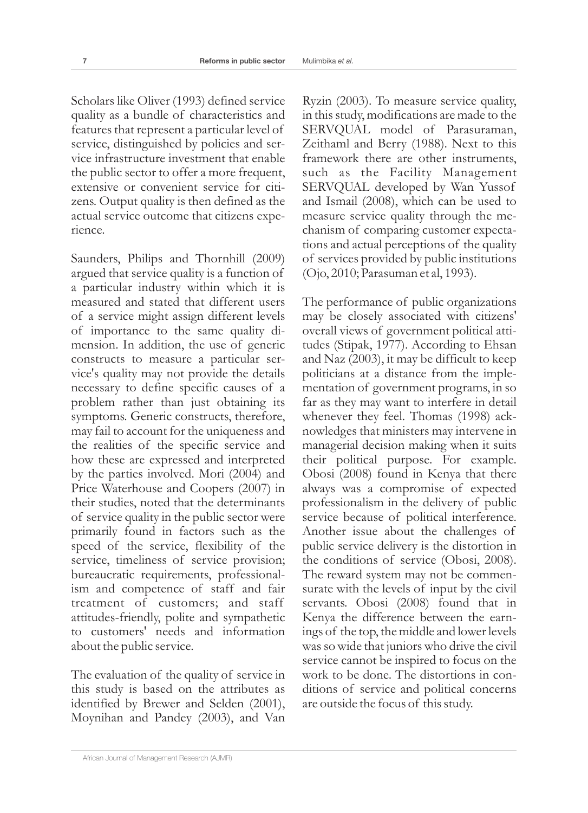Scholars like Oliver (1993) defined service quality as a bundle of characteristics and features that represent a particular level of service, distinguished by policies and service infrastructure investment that enable the public sector to offer a more frequent, extensive or convenient service for citizens. Output quality is then defined as the actual service outcome that citizens experience.

Saunders, Philips and Thornhill (2009) argued that service quality is a function of a particular industry within which it is measured and stated that different users of a service might assign different levels of importance to the same quality dimension. In addition, the use of generic constructs to measure a particular service's quality may not provide the details necessary to define specific causes of a problem rather than just obtaining its symptoms. Generic constructs, therefore, may fail to account for the uniqueness and the realities of the specific service and how these are expressed and interpreted by the parties involved. Mori (2004) and Price Waterhouse and Coopers (2007) in their studies, noted that the determinants of service quality in the public sector were primarily found in factors such as the speed of the service, flexibility of the service, timeliness of service provision; bureaucratic requirements, professionalism and competence of staff and fair treatment of customers; and staff attitudes-friendly, polite and sympathetic to customers' needs and information about the public service.

The evaluation of the quality of service in this study is based on the attributes as identified by Brewer and Selden (2001), Moynihan and Pandey (2003), and Van

Ryzin (2003). To measure service quality, in this study, modifications are made to the SERVQUAL model of Parasuraman, Zeithaml and Berry (1988). Next to this framework there are other instruments, such as the Facility Management SERVQUAL developed by Wan Yussof and Ismail (2008), which can be used to measure service quality through the mechanism of comparing customer expectations and actual perceptions of the quality of services provided by public institutions (Ojo, 2010; Parasuman et al, 1993).

The performance of public organizations may be closely associated with citizens' overall views of government political attitudes (Stipak, 1977). According to Ehsan and Naz (2003), it may be difficult to keep politicians at a distance from the implementation of government programs, in so far as they may want to interfere in detail whenever they feel. Thomas (1998) acknowledges that ministers may intervene in managerial decision making when it suits their political purpose. For example. Obosi (2008) found in Kenya that there always was a compromise of expected professionalism in the delivery of public service because of political interference. Another issue about the challenges of public service delivery is the distortion in the conditions of service (Obosi, 2008). The reward system may not be commensurate with the levels of input by the civil servants. Obosi (2008) found that in Kenya the difference between the earnings of the top, the middle and lower levels was so wide that juniors who drive the civil service cannot be inspired to focus on the work to be done. The distortions in conditions of service and political concerns are outside the focus of this study.

African Journal of Management Research (AJMR)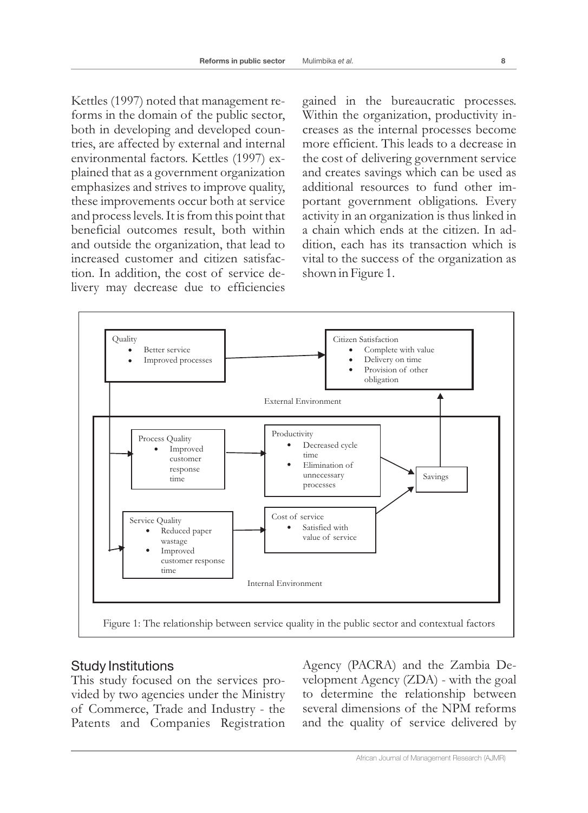Kettles (1997) noted that management reforms in the domain of the public sector, both in developing and developed countries, are affected by external and internal environmental factors. Kettles (1997) explained that as a government organization emphasizes and strives to improve quality, these improvements occur both at service and process levels. It is from this point that beneficial outcomes result, both within and outside the organization, that lead to increased customer and citizen satisfaction. In addition, the cost of service delivery may decrease due to efficiencies

gained in the bureaucratic processes. Within the organization, productivity increases as the internal processes become more efficient. This leads to a decrease in the cost of delivering government service and creates savings which can be used as additional resources to fund other important government obligations. Every activity in an organization is thus linked in a chain which ends at the citizen. In addition, each has its transaction which is vital to the success of the organization as shown in Figure 1.



### Study Institutions

This study focused on the services provided by two agencies under the Ministry of Commerce, Trade and Industry - the Patents and Companies Registration

Agency (PACRA) and the Zambia Development Agency (ZDA) - with the goal to determine the relationship between several dimensions of the NPM reforms and the quality of service delivered by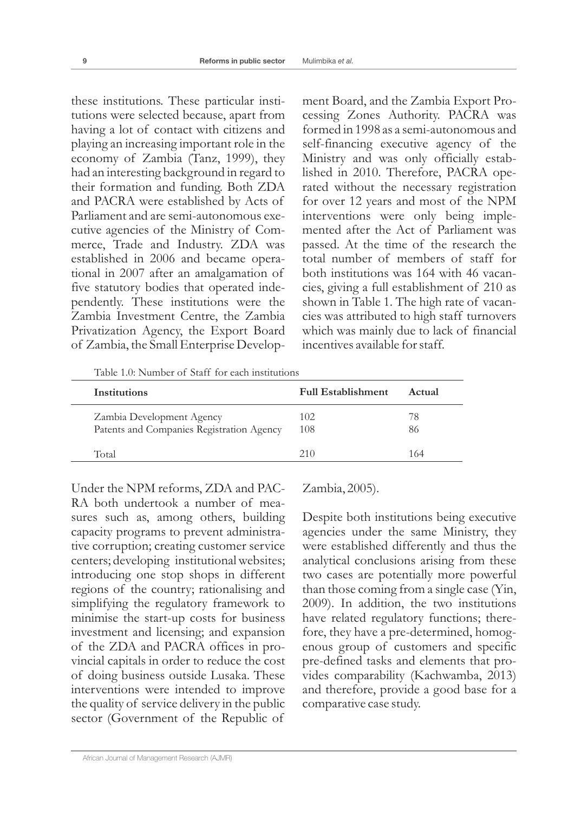these institutions. These particular institutions were selected because, apart from having a lot of contact with citizens and playing an increasing important role in the economy of Zambia (Tanz, 1999), they had an interesting background in regard to their formation and funding. Both ZDA and PACRA were established by Acts of Parliament and are semi-autonomous executive agencies of the Ministry of Commerce, Trade and Industry. ZDA was established in 2006 and became operational in 2007 after an amalgamation of five statutory bodies that operated independently. These institutions were the Zambia Investment Centre, the Zambia Privatization Agency, the Export Board of Zambia, the Small Enterprise Development Board, and the Zambia Export Processing Zones Authority. PACRA was formed in 1998 as a semi-autonomous and self-financing executive agency of the Ministry and was only officially established in 2010. Therefore, PACRA operated without the necessary registration for over 12 years and most of the NPM interventions were only being implemented after the Act of Parliament was passed. At the time of the research the total number of members of staff for both institutions was 164 with 46 vacancies, giving a full establishment of 210 as shown in Table 1. The high rate of vacancies was attributed to high staff turnovers which was mainly due to lack of financial incentives available for staff.

Table 1.0: Number of Staff for each institutions

| Institutions                                                           | <b>Full Establishment</b> | Actual   |  |
|------------------------------------------------------------------------|---------------------------|----------|--|
| Zambia Development Agency<br>Patents and Companies Registration Agency | 102<br>108                | 78<br>86 |  |
| Total                                                                  | 210                       | 164      |  |
|                                                                        |                           |          |  |

Under the NPM reforms, ZDA and PAC-RA both undertook a number of measures such as, among others, building capacity programs to prevent administrative corruption; creating customer service centers; developing institutional websites; introducing one stop shops in different regions of the country; rationalising and simplifying the regulatory framework to minimise the start-up costs for business investment and licensing; and expansion of the ZDA and PACRA offices in provincial capitals in order to reduce the cost of doing business outside Lusaka. These interventions were intended to improve the quality of service delivery in the public sector (Government of the Republic of

#### Zambia, 2005).

Despite both institutions being executive agencies under the same Ministry, they were established differently and thus the analytical conclusions arising from these two cases are potentially more powerful than those coming from a single case (Yin, 2009). In addition, the two institutions have related regulatory functions; therefore, they have a pre-determined, homogenous group of customers and specific pre-defined tasks and elements that provides comparability (Kachwamba, 2013) and therefore, provide a good base for a comparative case study.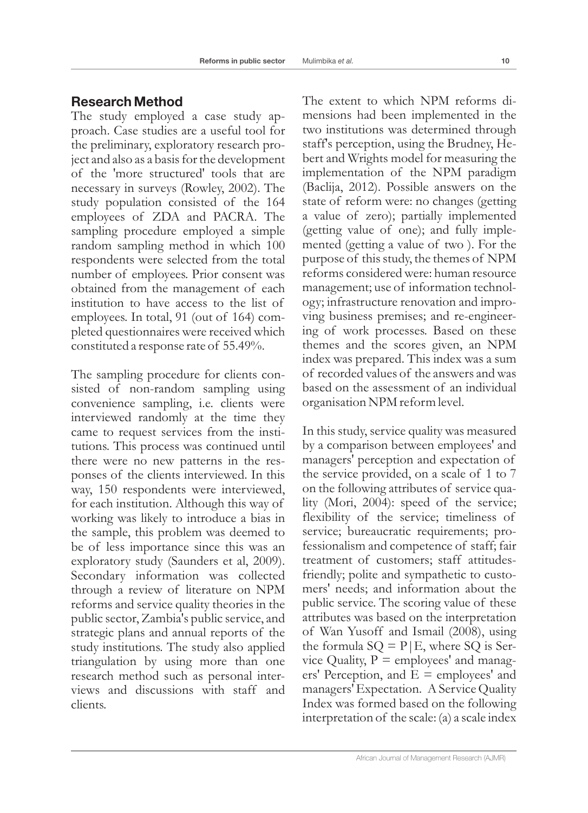## **Research Method**

The study employed a case study approach. Case studies are a useful tool for the preliminary, exploratory research project and also as a basis for the development of the 'more structured' tools that are necessary in surveys (Rowley, 2002). The study population consisted of the 164 employees of ZDA and PACRA. The sampling procedure employed a simple random sampling method in which 100 respondents were selected from the total number of employees. Prior consent was obtained from the management of each institution to have access to the list of employees. In total, 91 (out of 164) completed questionnaires were received which constituted a response rate of 55.49%.

The sampling procedure for clients consisted of non-random sampling using convenience sampling, i.e. clients were interviewed randomly at the time they came to request services from the institutions. This process was continued until there were no new patterns in the responses of the clients interviewed. In this way, 150 respondents were interviewed, for each institution. Although this way of working was likely to introduce a bias in the sample, this problem was deemed to be of less importance since this was an exploratory study (Saunders et al, 2009). Secondary information was collected through a review of literature on NPM reforms and service quality theories in the public sector, Zambia's public service, and strategic plans and annual reports of the study institutions. The study also applied triangulation by using more than one research method such as personal interviews and discussions with staff and clients.

The extent to which NPM reforms dimensions had been implemented in the two institutions was determined through staff's perception, using the Brudney, Hebert and Wrights model for measuring the implementation of the NPM paradigm (Baclija, 2012). Possible answers on the state of reform were: no changes (getting a value of zero); partially implemented (getting value of one); and fully implemented (getting a value of two ). For the purpose of this study, the themes of NPM reforms considered were: human resource management; use of information technology; infrastructure renovation and improving business premises; and re-engineering of work processes. Based on these themes and the scores given, an NPM index was prepared. This index was a sum of recorded values of the answers and was based on the assessment of an individual organisation NPM reform level.

In this study, service quality was measured by a comparison between employees' and managers' perception and expectation of the service provided, on a scale of 1 to 7 on the following attributes of service quality (Mori, 2004): speed of the service; flexibility of the service; timeliness of service; bureaucratic requirements; professionalism and competence of staff; fair treatment of customers; staff attitudesfriendly; polite and sympathetic to customers' needs; and information about the public service. The scoring value of these attributes was based on the interpretation of Wan Yusoff and Ismail (2008), using the formula  $SQ = P/E$ , where  $SQ$  is Service Quality,  $P =$  employees' and managers' Perception, and  $E =$  employees' and managers' Expectation. A Service Quality Index was formed based on the following interpretation of the scale: (a) a scale index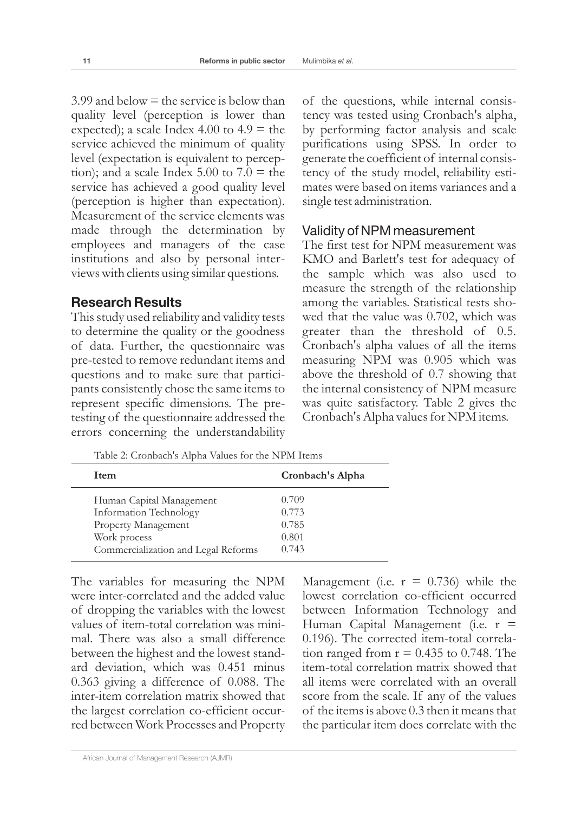$3.99$  and below  $=$  the service is below than quality level (perception is lower than expected); a scale Index 4.00 to  $4.9$  = the service achieved the minimum of quality level (expectation is equivalent to perception); and a scale Index  $5.00$  to  $7.0$  = the service has achieved a good quality level (perception is higher than expectation). Measurement of the service elements was made through the determination by employees and managers of the case institutions and also by personal interviews with clients using similar questions.

#### **Research Results**

This study used reliability and validity tests to determine the quality or the goodness of data. Further, the questionnaire was pre-tested to remove redundant items and questions and to make sure that participants consistently chose the same items to represent specific dimensions. The pretesting of the questionnaire addressed the errors concerning the understandability

of the questions, while internal consistency was tested using Cronbach's alpha, by performing factor analysis and scale purifications using SPSS. In order to generate the coefficient of internal consistency of the study model, reliability estimates were based on items variances and a single test administration.

#### Validity of NPM measurement

The first test for NPM measurement was KMO and Barlett's test for adequacy of the sample which was also used to measure the strength of the relationship among the variables. Statistical tests showed that the value was 0.702, which was greater than the threshold of 0.5*.* Cronbach's alpha values of all the items measuring NPM was 0.905 which was above the threshold of 0.7 showing that the internal consistency of NPM measure was quite satisfactory. Table 2 gives the Cronbach's Alpha values for NPM items.

| Table 2. Cronbach 3 Tuplia Values Tol the EVI In Tienis |  |  |  |
|---------------------------------------------------------|--|--|--|
| Cronbach's Alpha                                        |  |  |  |
| 0.709                                                   |  |  |  |
| 0.773                                                   |  |  |  |
| 0.785                                                   |  |  |  |
| 0.801                                                   |  |  |  |
|                                                         |  |  |  |

0.743

Table 2: Cronbach's Alpha Values for the NPM Items

The variables for measuring the NPM were inter-correlated and the added value of dropping the variables with the lowest values of item-total correlation was minimal. There was also a small difference between the highest and the lowest standard deviation, which was 0.451 minus 0.363 giving a difference of 0.088. The inter-item correlation matrix showed that the largest correlation co-efficient occurred between Work Processes and Property

Commercialization and Legal Reforms

Management (i.e.  $r = 0.736$ ) while the lowest correlation co-efficient occurred between Information Technology and Human Capital Management (i.e.  $r =$ 0.196). The corrected item-total correlation ranged from  $r = 0.435$  to 0.748. The item-total correlation matrix showed that all items were correlated with an overall score from the scale. If any of the values of the items is above 0.3 then it means that the particular item does correlate with the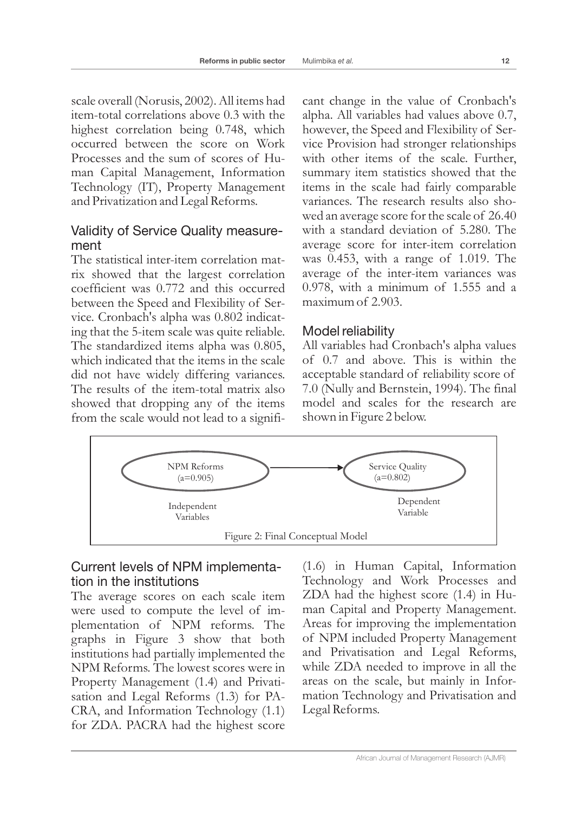scale overall (Norusis, 2002). All items had item-total correlations above 0.3 with the highest correlation being 0.748, which occurred between the score on Work Processes and the sum of scores of Human Capital Management, Information Technology (IT), Property Management and Privatization and Legal Reforms.

## Validity of Service Quality measurement

The statistical inter-item correlation matrix showed that the largest correlation coefficient was 0.772 and this occurred between the Speed and Flexibility of Service. Cronbach's alpha was 0.802 indicating that the 5-item scale was quite reliable. The standardized items alpha was 0.805, which indicated that the items in the scale did not have widely differing variances. The results of the item-total matrix also showed that dropping any of the items from the scale would not lead to a significant change in the value of Cronbach's alpha. All variables had values above 0.7, however, the Speed and Flexibility of Service Provision had stronger relationships with other items of the scale. Further, summary item statistics showed that the items in the scale had fairly comparable variances. The research results also showed an average score for the scale of 26.40 with a standard deviation of 5.280. The average score for inter-item correlation was 0.453, with a range of 1.019. The average of the inter-item variances was 0.978, with a minimum of 1.555 and a maximum of 2.903.

### Model reliability

All variables had Cronbach's alpha values of 0.7 and above. This is within the acceptable standard of reliability score of 7.0 (Nully and Bernstein, 1994). The final model and scales for the research are shown in Figure 2 below.



## Current levels of NPM implementation in the institutions

The average scores on each scale item were used to compute the level of implementation of NPM reforms. The graphs in Figure 3 show that both institutions had partially implemented the NPM Reforms. The lowest scores were in Property Management (1.4) and Privatisation and Legal Reforms (1.3) for PA-CRA, and Information Technology (1.1) for ZDA. PACRA had the highest score

(1.6) in Human Capital, Information Technology and Work Processes and ZDA had the highest score (1.4) in Human Capital and Property Management. Areas for improving the implementation of NPM included Property Management and Privatisation and Legal Reforms, while ZDA needed to improve in all the areas on the scale, but mainly in Information Technology and Privatisation and Legal Reforms.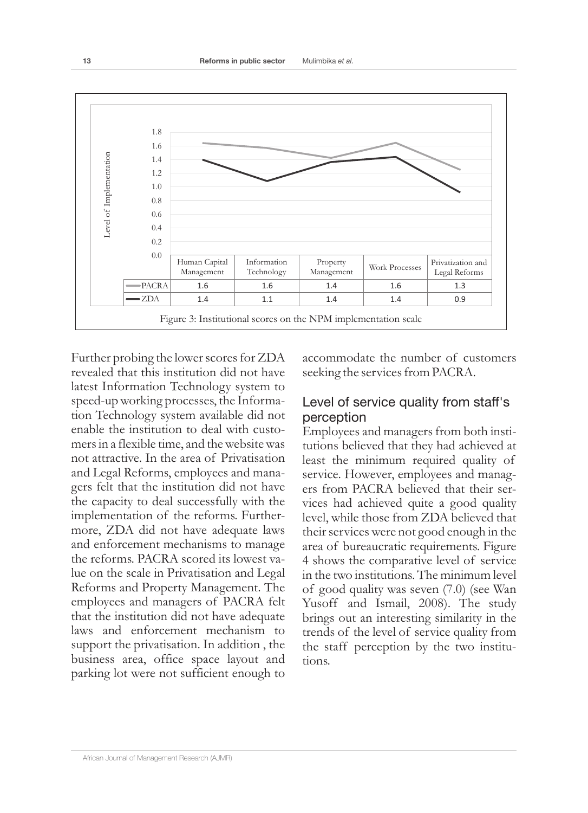

Further probing the lower scores for ZDA revealed that this institution did not have latest Information Technology system to speed-up working processes, the Information Technology system available did not enable the institution to deal with customers in a flexible time, and the website was not attractive. In the area of Privatisation and Legal Reforms, employees and managers felt that the institution did not have the capacity to deal successfully with the implementation of the reforms. Furthermore, ZDA did not have adequate laws and enforcement mechanisms to manage the reforms. PACRA scored its lowest value on the scale in Privatisation and Legal Reforms and Property Management. The employees and managers of PACRA felt that the institution did not have adequate laws and enforcement mechanism to support the privatisation. In addition , the business area, office space layout and parking lot were not sufficient enough to

accommodate the number of customers seeking the services from PACRA.

### Level of service quality from staff's perception

Employees and managers from both institutions believed that they had achieved at least the minimum required quality of service. However, employees and managers from PACRA believed that their services had achieved quite a good quality level, while those from ZDA believed that their services were not good enough in the area of bureaucratic requirements. Figure 4 shows the comparative level of service in the two institutions. The minimum level of good quality was seven (7.0) (see Wan Yusoff and Ismail, 2008). The study brings out an interesting similarity in the trends of the level of service quality from the staff perception by the two institutions.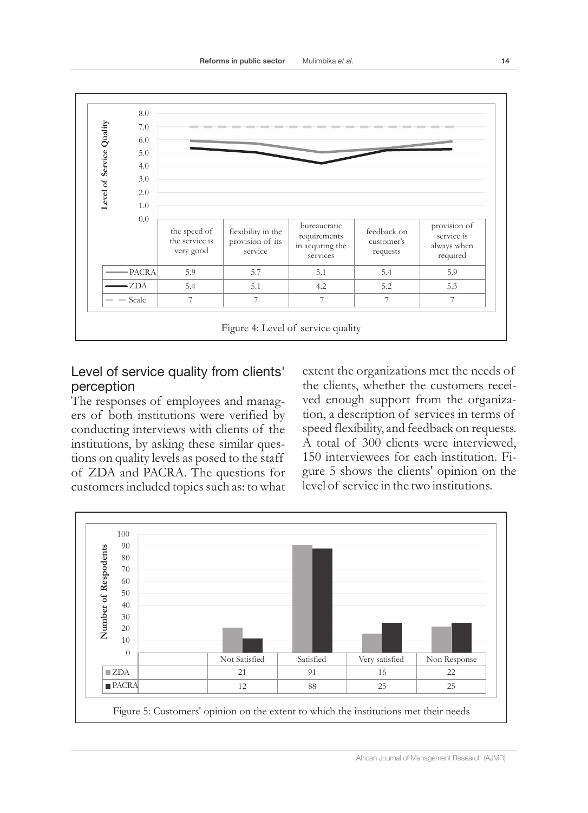

## Level of service quality from clients' perception

The responses of employees and managers of both institutions were verified by conducting interviews with clients of the institutions, by asking these similar questions on quality levels as posed to the staff of ZDA and PACRA. The questions for customers included topics such as: to what extent the organizations met the needs of the clients, whether the customers received enough support from the organization, a description of services in terms of speed flexibility, and feedback on requests. A total of 300 clients were interviewed, 150 interviewees for each institution. Figure 5 shows the clients' opinion on the level of service in the two institutions.

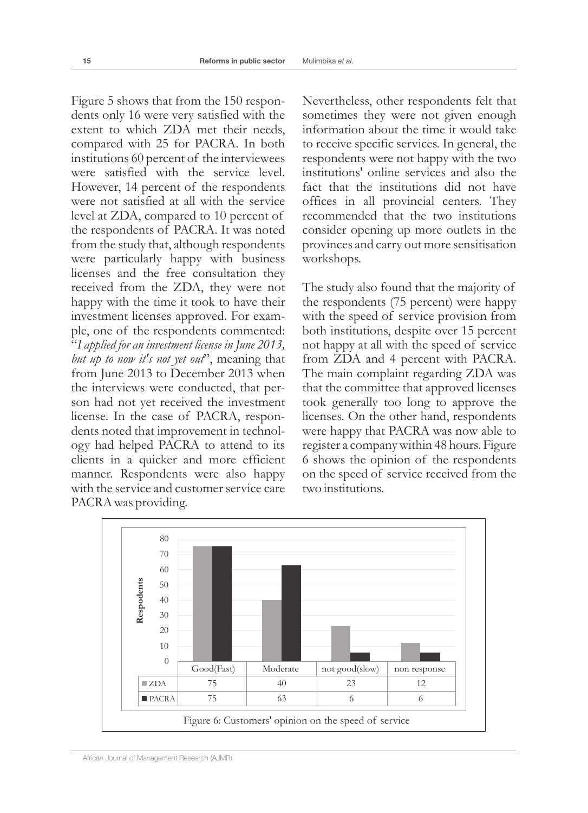Figure 5 shows that from the 150 respondents only 16 were very satisfied with the extent to which ZDA met their needs, compared with 25 for PACRA. In both institutions 60 percent of the interviewees were satisfied with the service level. However, 14 percent of the respondents were not satisfied at all with the service level at ZDA, compared to 10 percent of the respondents of PACRA. It was noted from the study that, although respondents were particularly happy with business licenses and the free consultation they received from the ZDA, they were not happy with the time it took to have their investment licenses approved. For example, one of the respondents commented: "*I applied for an investment license in June 2013, but up to now it's not yet out*", meaning that from June 2013 to December 2013 when the interviews were conducted, that person had not yet received the investment license. In the case of PACRA, respondents noted that improvement in technology had helped PACRA to attend to its clients in a quicker and more efficient manner. Respondents were also happy with the service and customer service care PACRA was providing.

Nevertheless, other respondents felt that sometimes they were not given enough information about the time it would take to receive specific services. In general, the respondents were not happy with the two institutions' online services and also the fact that the institutions did not have offices in all provincial centers. They recommended that the two institutions consider opening up more outlets in the provinces and carry out more sensitisation workshops.

The study also found that the majority of the respondents (75 percent) were happy with the speed of service provision from both institutions, despite over 15 percent not happy at all with the speed of service from ZDA and 4 percent with PACRA. The main complaint regarding ZDA was that the committee that approved licenses took generally too long to approve the licenses. On the other hand, respondents were happy that PACRA was now able to register a company within 48 hours. Figure 6 shows the opinion of the respondents on the speed of service received from the two institutions.

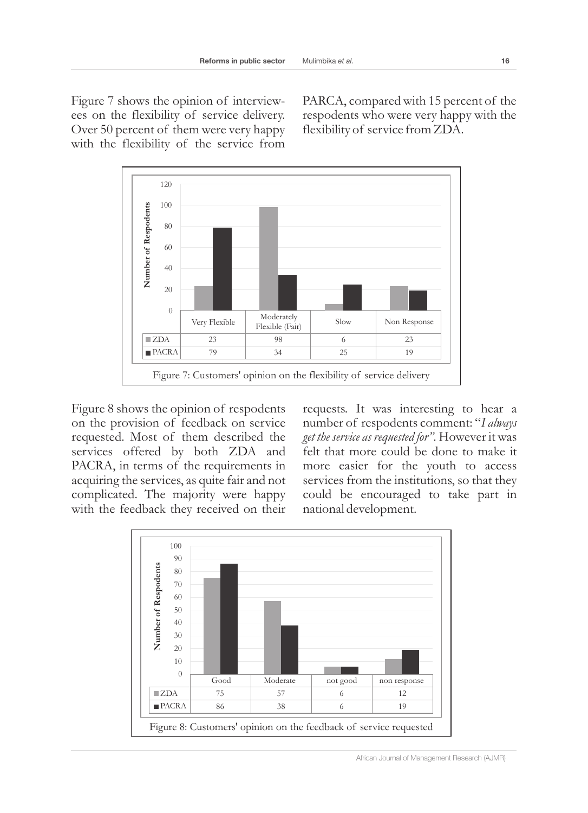Figure 7 shows the opinion of interviewees on the flexibility of service delivery. Over 50 percent of them were very happy with the flexibility of the service from

PARCA, compared with 15 percent of the respodents who were very happy with the flexibility of service from ZDA.



Figure 8 shows the opinion of respodents on the provision of feedback on service requested. Most of them described the services offered by both ZDA and PACRA, in terms of the requirements in acquiring the services, as quite fair and not complicated. The majority were happy with the feedback they received on their requests. It was interesting to hear a number of respodents comment: "*I always get the service as requested for".* However it was felt that more could be done to make it more easier for the youth to access services from the institutions, so that they could be encouraged to take part in national development.

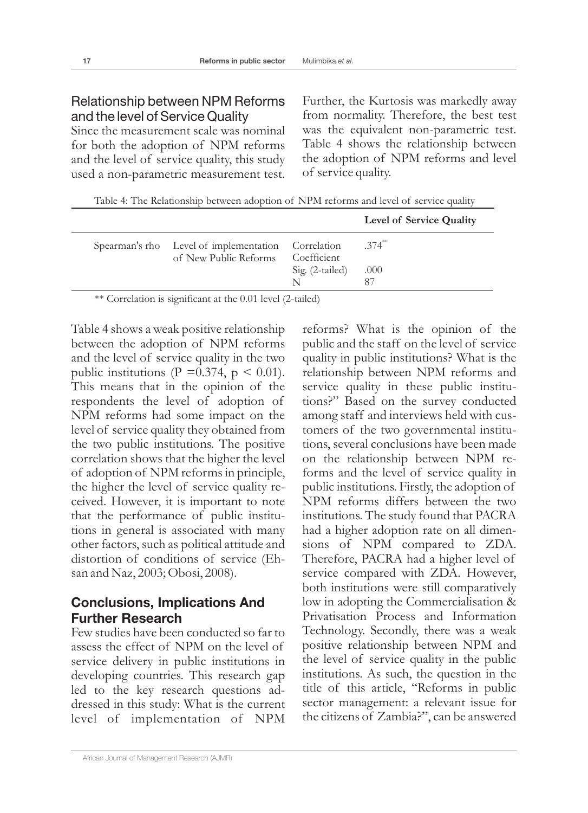## Relationship between NPM Reforms and the level of Service Quality

Since the measurement scale was nominal for both the adoption of NPM reforms and the level of service quality, this study used a non-parametric measurement test. Further, the Kurtosis was markedly away from normality. Therefore, the best test was the equivalent non-parametric test. Table 4 shows the relationship between the adoption of NPM reforms and level of service quality.

Table 4: The Relationship between adoption of NPM reforms and level of service quality

|                                                                                         |                 | Level of Service Quality     |
|-----------------------------------------------------------------------------------------|-----------------|------------------------------|
| Spearman's rho Level of implementation Correlation<br>of New Public Reforms Coefficient | Sig. (2-tailed) | $.374$ <sup>**</sup><br>.000 |
|                                                                                         |                 |                              |

\*\* Correlation is significant at the 0.01 level (2-tailed)

Table 4 shows a weak positive relationship between the adoption of NPM reforms and the level of service quality in the two public institutions (P = 0.374, p < 0.01). This means that in the opinion of the respondents the level of adoption of NPM reforms had some impact on the level of service quality they obtained from the two public institutions. The positive correlation shows that the higher the level of adoption of NPM reforms in principle, the higher the level of service quality received. However, it is important to note that the performance of public institutions in general is associated with many other factors, such as political attitude and distortion of conditions of service (Ehsan and Naz, 2003; Obosi, 2008).

## **Conclusions, Implications And Further Research**

Few studies have been conducted so far to assess the effect of NPM on the level of service delivery in public institutions in developing countries. This research gap led to the key research questions addressed in this study: What is the current level of implementation of NPM

African Journal of Management Research (AJMR)

reforms? What is the opinion of the public and the staff on the level of service quality in public institutions? What is the relationship between NPM reforms and service quality in these public institutions?" Based on the survey conducted among staff and interviews held with customers of the two governmental institutions, several conclusions have been made on the relationship between NPM reforms and the level of service quality in public institutions. Firstly, the adoption of NPM reforms differs between the two institutions. The study found that PACRA had a higher adoption rate on all dimensions of NPM compared to ZDA. Therefore, PACRA had a higher level of service compared with ZDA. However, both institutions were still comparatively low in adopting the Commercialisation & Privatisation Process and Information Technology. Secondly, there was a weak positive relationship between NPM and the level of service quality in the public institutions. As such, the question in the title of this article, "Reforms in public sector management: a relevant issue for the citizens of Zambia?", can be answered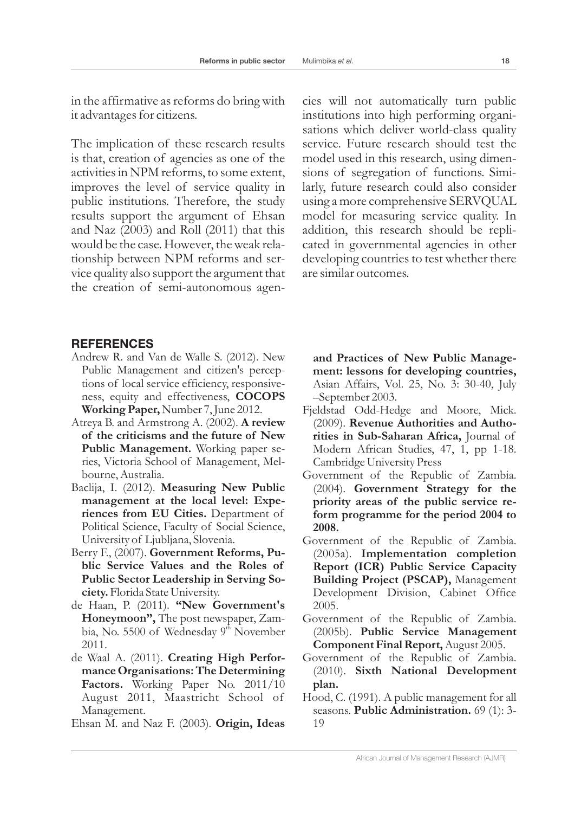in the affirmative as reforms do bring with it advantages for citizens.

The implication of these research results is that, creation of agencies as one of the activities in NPM reforms, to some extent, improves the level of service quality in public institutions. Therefore, the study results support the argument of Ehsan and Naz (2003) and Roll (2011) that this would be the case. However, the weak relationship between NPM reforms and service quality also support the argument that the creation of semi-autonomous agen-

cies will not automatically turn public institutions into high performing organisations which deliver world-class quality service. Future research should test the model used in this research, using dimensions of segregation of functions. Similarly, future research could also consider using a more comprehensive SERVQUAL model for measuring service quality. In addition, this research should be replicated in governmental agencies in other developing countries to test whether there are similar outcomes.

#### **REFERENCES**

- Andrew R. and Van de Walle S. (2012). New Public Management and citizen's perceptions of local service efficiency, responsiveness, equity and effectiveness, **COCOPS Working Paper,** Number 7, June 2012.
- Atreya B. and Armstrong A. (2002). **A review of the criticisms and the future of New Public Management.** Working paper series, Victoria School of Management, Melbourne, Australia.
- Baclija, I. (2012). **Measuring New Public management at the local level: Experiences from EU Cities.** Department of Political Science, Faculty of Social Science, University of Ljubljana, Slovenia.
- Berry F., (2007). **Government Reforms, Public Service Values and the Roles of Public Sector Leadership in Serving Society.** Florida State University.
- de Haan, P. (2011). **"New Government's Honeymoon",** The post newspaper, Zambia, No. 5500 of Wednesday 9<sup>th</sup> November 2011.
- de Waal A. (2011). **Creating High Performance Organisations: The Determining Factors.** Working Paper No. 2011/10 August 2011, Maastricht School of Management.

Ehsan M. and Naz F. (2003)*.* **Origin, Ideas** 

**and Practices of New Public Management: lessons for developing countries,**  Asian Affairs, Vol. 25, No. 3: 30-40, July –September 2003.

- Fjeldstad Odd-Hedge and Moore, Mick. (2009). **Revenue Authorities and Authorities in Sub-Saharan Africa,** Journal of Modern African Studies, 47, 1, pp 1-18. Cambridge University Press
- Government of the Republic of Zambia. (2004). **Government Strategy for the priority areas of the public service reform programme for the period 2004 to 2008.**
- Government of the Republic of Zambia. (2005a)*.* **Implementation completion Report (ICR) Public Service Capacity Building Project (PSCAP),** Management Development Division, Cabinet Office 2005.
- Government of the Republic of Zambia. (2005b). **Public Service Management Component Final Report,**August 2005.
- Government of the Republic of Zambia. (2010). **Sixth National Development plan.**
- Hood, C. (1991). A public management for all seasons. **Public Administration.** 69 (1): 3- 19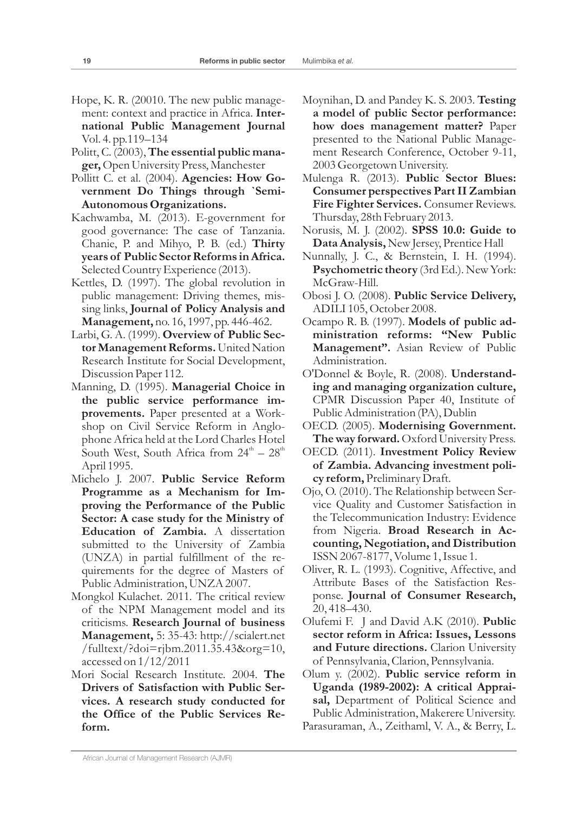- Hope, K. R. (20010. The new public management: context and practice in Africa. **International Public Management Journal** Vol. 4. pp.119–134
- Politt, C. (2003), **The essential public manager,**Open University Press, Manchester
- Pollitt C. et al. (2004). **Agencies: How Government Do Things through `Semi-Autonomous Organizations.**
- Kachwamba, M. (2013). E-government for good governance: The case of Tanzania. Chanie, P. and Mihyo, P. B. (ed.) **Thirty years of Public Sector Reforms in Africa.** Selected Country Experience (2013).
- Kettles, D. (1997). The global revolution in public management: Driving themes, missing links, **Journal of Policy Analysis and Management,** no. 16, 1997, pp. 446-462.
- Larbi, G. A. (1999). **Overview of Public Sector Management Reforms.** United Nation Research Institute for Social Development, Discussion Paper 112.
- Manning, D. (1995). **Managerial Choice in the public service performance improvements.** Paper presented at a Workshop on Civil Service Reform in Anglophone Africa held at the Lord Charles Hotel South West, South Africa from  $24^{\text{th}} - 28^{\text{th}}$ April 1995.
- Michelo J. 2007. **Public Service Reform Programme as a Mechanism for Improving the Performance of the Public Sector: A case study for the Ministry of Education of Zambia.** A dissertation submitted to the University of Zambia (UNZA) in partial fulfillment of the requirements for the degree of Masters of Public Administration, UNZA 2007.
- Mongkol Kulachet. 2011*.* The critical review of the NPM Management model and its criticisms. **Research Journal of business Management,** 5: 35-43: http://scialert.net /fulltext/?doi=rjbm.2011.35.43&org=10, accessed on 1/12/2011
- Mori Social Research Institute. 2004. **The Drivers of Satisfaction with Public Services. A research study conducted for the Office of the Public Services Reform.**
- Moynihan, D. and Pandey K. S. 2003. **Testing a model of public Sector performance: how does management matter?** Paper presented to the National Public Management Research Conference, October 9-11, 2003 Georgetown University.
- Mulenga R. (2013). **Public Sector Blues: Consumer perspectives Part II Zambian Fire Fighter Services.** Consumer Reviews. Thursday, 28th February 2013.
- Norusis, M. J. (2002). **SPSS 10.0: Guide to Data Analysis,**New Jersey, Prentice Hall
- Nunnally, J. C., & Bernstein, I. H. (1994). **Psychometric theory** (3rd Ed.). New York: McGraw-Hill.
- Obosi J. O. (2008). **Public Service Delivery,** ADILI 105, October 2008.
- Ocampo R. B. (1997). **Models of public administration reforms: "New Public Management".** Asian Review of Public Administration.
- O'Donnel & Boyle, R. (2008). **Understanding and managing organization culture,** CPMR Discussion Paper 40, Institute of Public Administration (PA), Dublin
- OECD. (2005). **Modernising Government. The way forward.**Oxford University Press.
- OECD. (2011). **Investment Policy Review of Zambia. Advancing investment policy reform,** Preliminary Draft.
- Ojo, O. (2010). The Relationship between Service Quality and Customer Satisfaction in the Telecommunication Industry: Evidence from Nigeria. **Broad Research in Accounting, Negotiation, and Distribution**  ISSN 2067-8177, Volume 1, Issue 1.
- Oliver, R. L. (1993). Cognitive, Affective, and Attribute Bases of the Satisfaction Response. **Journal of Consumer Research,** 20, 418–430.
- Olufemi F. J and David A.K (2010). **Public sector reform in Africa: Issues, Lessons and Future directions.** Clarion University of Pennsylvania, Clarion, Pennsylvania.
- Olum y. (2002). **Public service reform in Uganda (1989-2002): A critical Appraisal,** Department of Political Science and Public Administration, Makerere University.
- Parasuraman, A., Zeithaml, V. A., & Berry, L.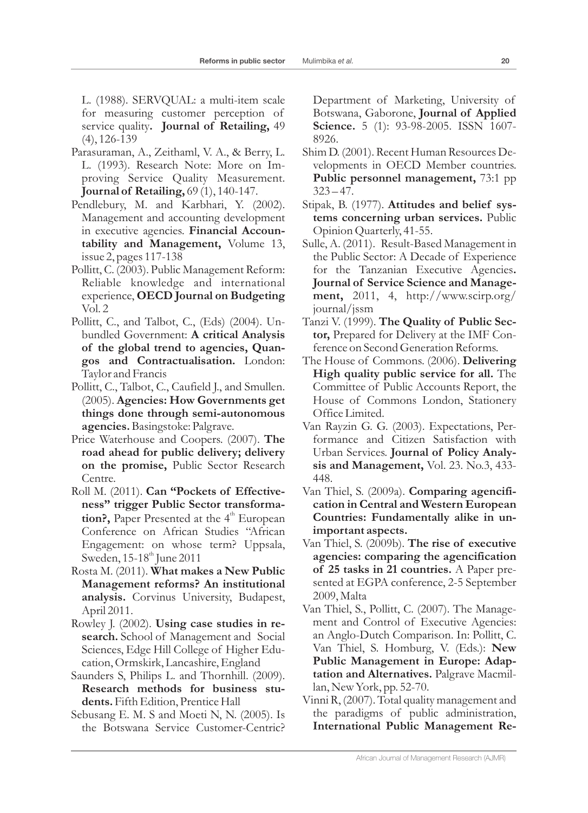- Parasuraman, A., Zeithaml, V. A., & Berry, L. L. (1993). Research Note: More on Improving Service Quality Measurement. **Journal of Retailing,** 69 (1), 140-147.
- Pendlebury, M. and Karbhari, Y. (2002). Management and accounting development in executive agencies. **Financial Accountability and Management,** Volume 13, issue 2, pages 117-138
- Pollitt, C. (2003). Public Management Reform: Reliable knowledge and international experience, **OECD Journal on Budgeting** Vol. 2
- Pollitt, C., and Talbot, C., (Eds) (2004). Unbundled Government: **A critical Analysis of the global trend to agencies, Quangos and Contractualisation.** London: Taylor and Francis
- Pollitt, C., Talbot, C., Caufield J., and Smullen. (2005). **Agencies: How Governments get things done through semi-autonomous agencies.**Basingstoke: Palgrave.
- Price Waterhouse and Coopers. (2007). **The road ahead for public delivery; delivery on the promise,** Public Sector Research Centre.
- Roll M. (2011). **Can "Pockets of Effectiveness" trigger Public Sector transforma**tion?, Paper Presented at the 4<sup>th</sup> European Conference on African Studies "African Engagement: on whose term? Uppsala, Sweden,  $15-18$ <sup>th</sup> June 2011
- Rosta M. (2011). **What makes a New Public Management reforms? An institutional analysis.** Corvinus University, Budapest, April 2011.
- Rowley J. (2002). **Using case studies in research.** School of Management and Social Sciences, Edge Hill College of Higher Education, Ormskirk, Lancashire, England
- Saunders S, Philips L. and Thornhill. (2009). **Research methods for business students.** Fifth Edition, Prentice Hall
- Sebusang E. M. S and Moeti N, N. (2005). Is the Botswana Service Customer-Centric?

Department of Marketing, University of Botswana, Gaborone, **Journal of Applied Science.** 5 (1): 93-98-2005. ISSN 1607-8926.

- Shim D. (2001). Recent Human Resources Developments in OECD Member countries. **Public personnel management,** 73:1 pp  $323 - 47$ .
- Stipak, B. (1977). **Attitudes and belief systems concerning urban services.** Public Opinion Quarterly, 41-55.
- Sulle, A. (2011). Result-Based Management in the Public Sector: A Decade of Experience for the Tanzanian Executive Agencies**. Journal of Service Science and Management,** 2011, 4, http://www.scirp.org/ journal/jssm
- Tanzi V. (1999). **The Quality of Public Sector,** Prepared for Delivery at the IMF Conference on Second Generation Reforms.
- The House of Commons. (2006). **Delivering High quality public service for all.** The Committee of Public Accounts Report, the House of Commons London, Stationery Office Limited.
- Van Rayzin G. G. (2003). Expectations, Performance and Citizen Satisfaction with Urban Services. **Journal of Policy Analysis and Management,** Vol. 23. No.3, 433- 448.
- Van Thiel, S. (2009a). **Comparing agencification in Central and Western European Countries: Fundamentally alike in unimportant aspects.**
- Van Thiel, S. (2009b). **The rise of executive agencies: comparing the agencification of 25 tasks in 21 countries.** A Paper presented at EGPA conference, 2-5 September 2009, Malta
- Van Thiel, S., Pollitt, C. (2007). The Management and Control of Executive Agencies: an Anglo-Dutch Comparison. In: Pollitt, C. Van Thiel, S. Homburg, V. (Eds.): **New Public Management in Europe: Adaptation and Alternatives.** Palgrave Macmillan, New York, pp. 52-70.
- Vinni R, (2007). Total quality management and the paradigms of public administration, **International Public Management Re-**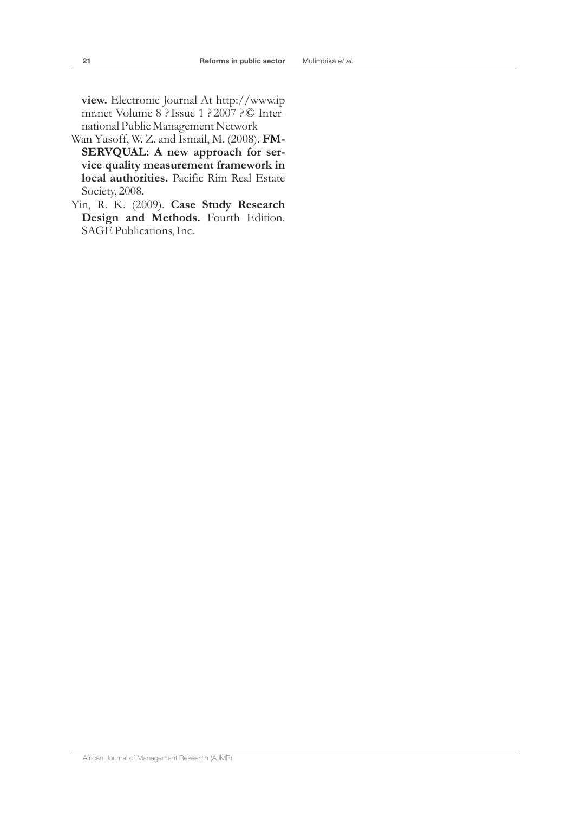**view.** Electronic Journal At http://www.ip mr.net Volume 8 ?Issue 1 ? 2007 ?© International Public Management Network

- Wan Yusoff, W. Z. and Ismail, M. (2008). **FM-SERVQUAL: A new approach for service quality measurement framework in local authorities.** Pacific Rim Real Estate Society, 2008.
- Yin, R. K. (2009). **Case Study Research Design and Methods.** Fourth Edition. SAGE Publications, Inc.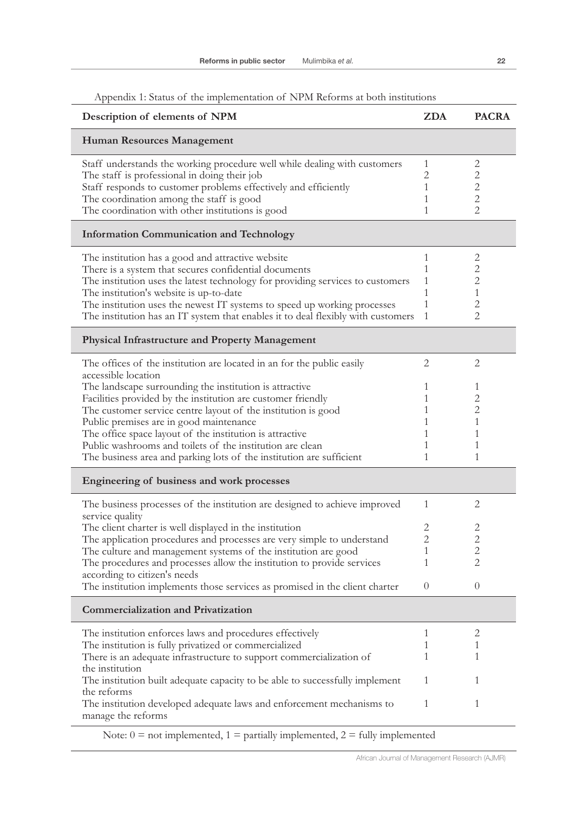| Appendix 1; status of the implementation of typin reforms at both institutions   |              |                |
|----------------------------------------------------------------------------------|--------------|----------------|
| Description of elements of NPM                                                   | <b>ZDA</b>   | <b>PACRA</b>   |
| Human Resources Management                                                       |              |                |
| Staff understands the working procedure well while dealing with customers        | $\mathbf{1}$ | 2              |
| The staff is professional in doing their job                                     | 2            | 2              |
| Staff responds to customer problems effectively and efficiently                  | 1            | 2              |
| The coordination among the staff is good                                         | 1            | $\overline{2}$ |
| The coordination with other institutions is good                                 | 1            | $\overline{2}$ |
| <b>Information Communication and Technology</b>                                  |              |                |
|                                                                                  |              |                |
| The institution has a good and attractive website                                | 1            | 2              |
| There is a system that secures confidential documents                            | 1            | 2              |
| The institution uses the latest technology for providing services to customers   | 1            | 2              |
| The institution's website is up-to-date                                          | $\mathbf{1}$ | 1              |
| The institution uses the newest IT systems to speed up working processes         | 1            | 2              |
| The institution has an IT system that enables it to deal flexibly with customers | $\mathbf{1}$ | 2              |
| Physical Infrastructure and Property Management                                  |              |                |
| The offices of the institution are located in an for the public easily           | 2            | 2              |
| accessible location                                                              |              |                |
| The landscape surrounding the institution is attractive                          | 1            | 1              |
|                                                                                  | 1            | 2              |
| Facilities provided by the institution are customer friendly                     |              |                |
| The customer service centre layout of the institution is good                    | 1            | 2              |
| Public premises are in good maintenance                                          | 1            | 1              |
| The office space layout of the institution is attractive                         | 1            | 1              |
| Public washrooms and toilets of the institution are clean                        | 1            | 1              |
| The business area and parking lots of the institution are sufficient             | 1            | 1              |
| Engineering of business and work processes                                       |              |                |
| The business processes of the institution are designed to achieve improved       | $\mathbf{1}$ | 2              |
| service quality                                                                  | 2            | 2              |
| The client charter is well displayed in the institution                          |              |                |
| The application procedures and processes are very simple to understand           | 2            | 2              |
| The culture and management systems of the institution are good                   | 1            | $\overline{2}$ |
| The procedures and processes allow the institution to provide services           | 1            | $\overline{2}$ |
| according to citizen's needs                                                     |              |                |
| The institution implements those services as promised in the client charter      | 0            | $\theta$       |
| <b>Commercialization and Privatization</b>                                       |              |                |
| The institution enforces laws and procedures effectively                         | 1            | 2              |
| The institution is fully privatized or commercialized                            | 1            | 1              |
| There is an adequate infrastructure to support commercialization of              | 1            | 1              |

## Appendix 1: Status of the implementation of NPM Reforms at both institutions

The institution built adequate capacity to be able to successfully implement

The institution developed adequate laws and enforcement mechanisms to

the institution

manage the reforms

the reforms

1 1

1 1